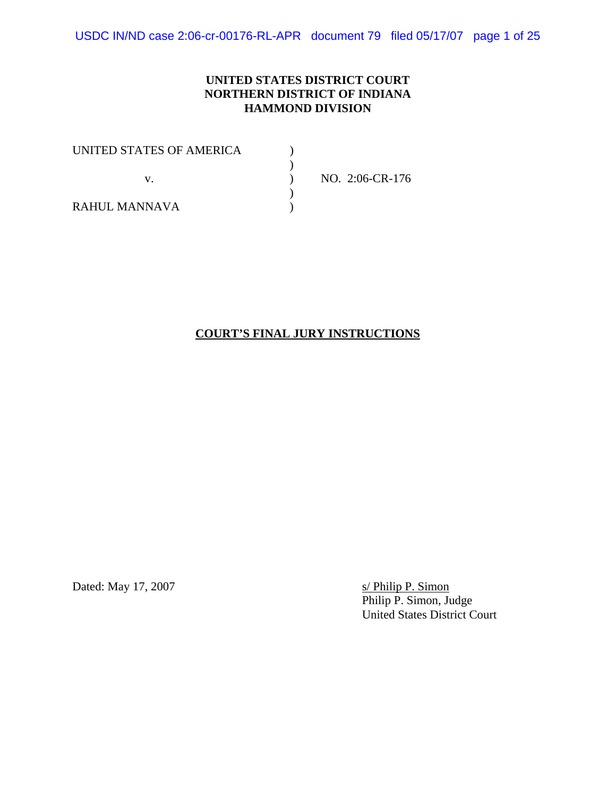USDC IN/ND case 2:06-cr-00176-RL-APR document 79 filed 05/17/07 page 1 of 25

#### **UNITED STATES DISTRICT COURT NORTHERN DISTRICT OF INDIANA HAMMOND DIVISION**

| UNITED STATES OF AMERICA |                 |
|--------------------------|-----------------|
|                          |                 |
|                          | NO. 2:06-CR-176 |
|                          |                 |
| RAHUL MANNAVA            |                 |

### **COURT'S FINAL JURY INSTRUCTIONS**

Dated: May 17, 2007

s/ Philip P. Simon<br>Philip P. Simon, Judge United States District Court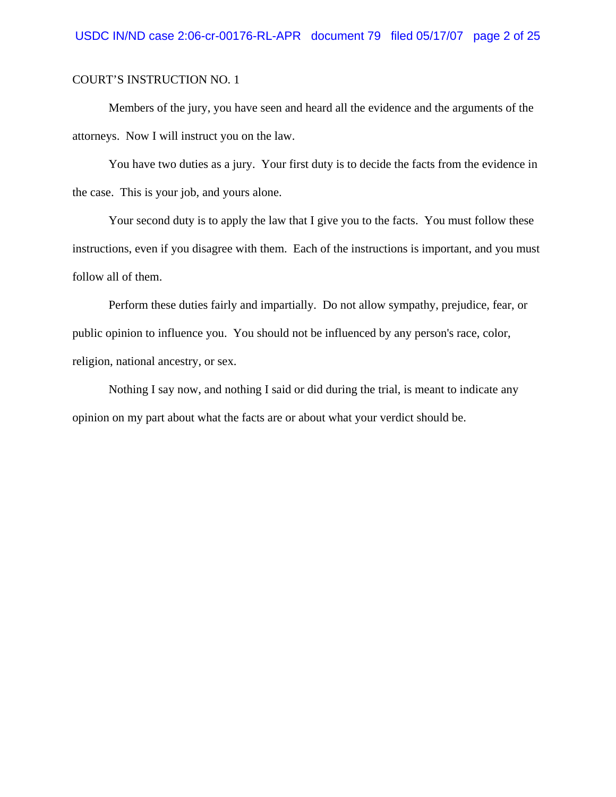Members of the jury, you have seen and heard all the evidence and the arguments of the attorneys. Now I will instruct you on the law.

You have two duties as a jury. Your first duty is to decide the facts from the evidence in the case. This is your job, and yours alone.

Your second duty is to apply the law that I give you to the facts. You must follow these instructions, even if you disagree with them. Each of the instructions is important, and you must follow all of them.

Perform these duties fairly and impartially. Do not allow sympathy, prejudice, fear, or public opinion to influence you. You should not be influenced by any person's race, color, religion, national ancestry, or sex.

Nothing I say now, and nothing I said or did during the trial, is meant to indicate any opinion on my part about what the facts are or about what your verdict should be.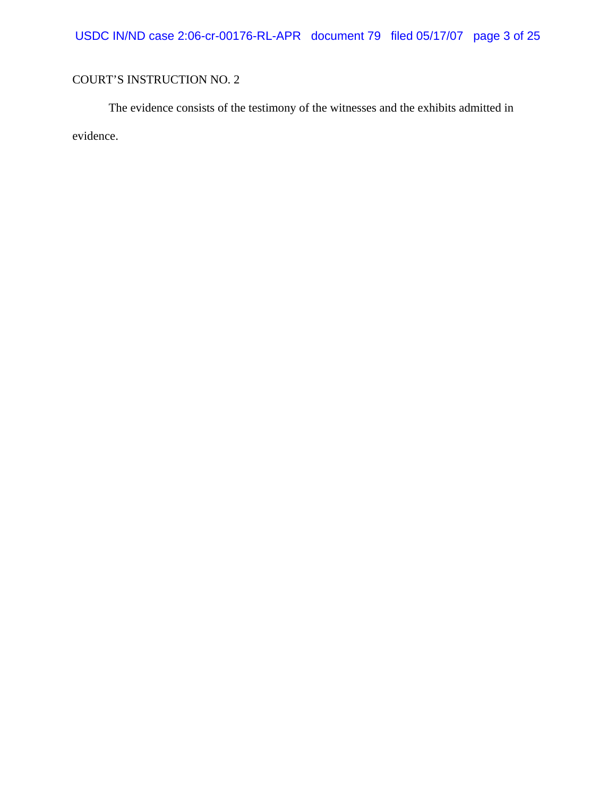The evidence consists of the testimony of the witnesses and the exhibits admitted in evidence.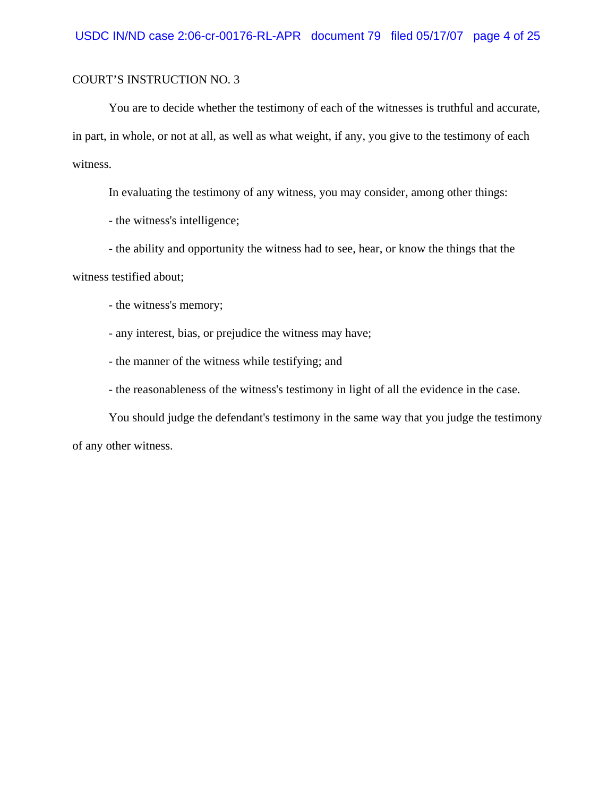You are to decide whether the testimony of each of the witnesses is truthful and accurate, in part, in whole, or not at all, as well as what weight, if any, you give to the testimony of each witness.

In evaluating the testimony of any witness, you may consider, among other things:

- the witness's intelligence;

- the ability and opportunity the witness had to see, hear, or know the things that the

witness testified about;

- the witness's memory;

- any interest, bias, or prejudice the witness may have;

- the manner of the witness while testifying; and

- the reasonableness of the witness's testimony in light of all the evidence in the case.

You should judge the defendant's testimony in the same way that you judge the testimony of any other witness.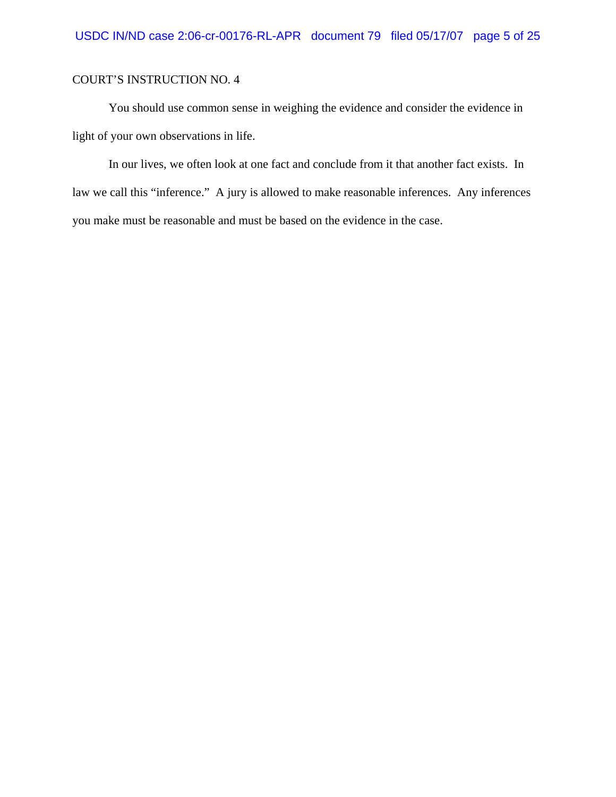You should use common sense in weighing the evidence and consider the evidence in light of your own observations in life.

In our lives, we often look at one fact and conclude from it that another fact exists. In law we call this "inference." A jury is allowed to make reasonable inferences. Any inferences you make must be reasonable and must be based on the evidence in the case.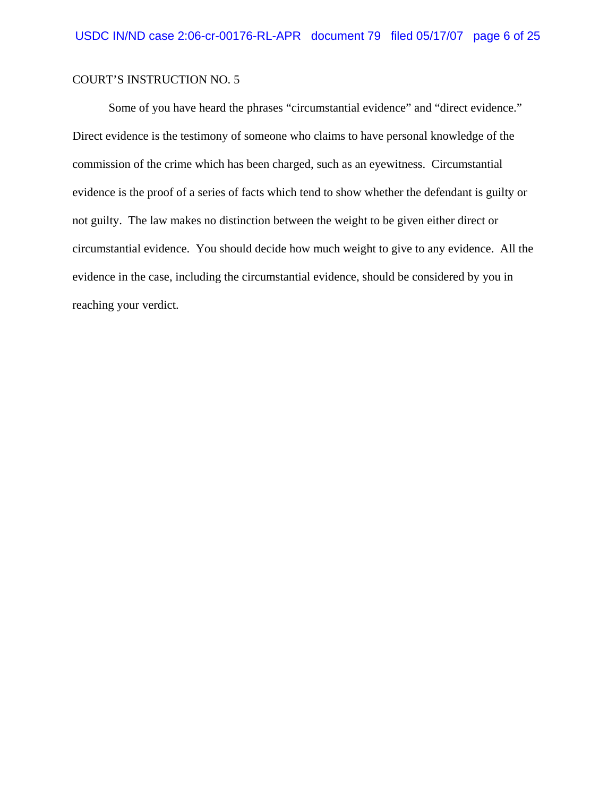Some of you have heard the phrases "circumstantial evidence" and "direct evidence." Direct evidence is the testimony of someone who claims to have personal knowledge of the commission of the crime which has been charged, such as an eyewitness. Circumstantial evidence is the proof of a series of facts which tend to show whether the defendant is guilty or not guilty. The law makes no distinction between the weight to be given either direct or circumstantial evidence. You should decide how much weight to give to any evidence. All the evidence in the case, including the circumstantial evidence, should be considered by you in reaching your verdict.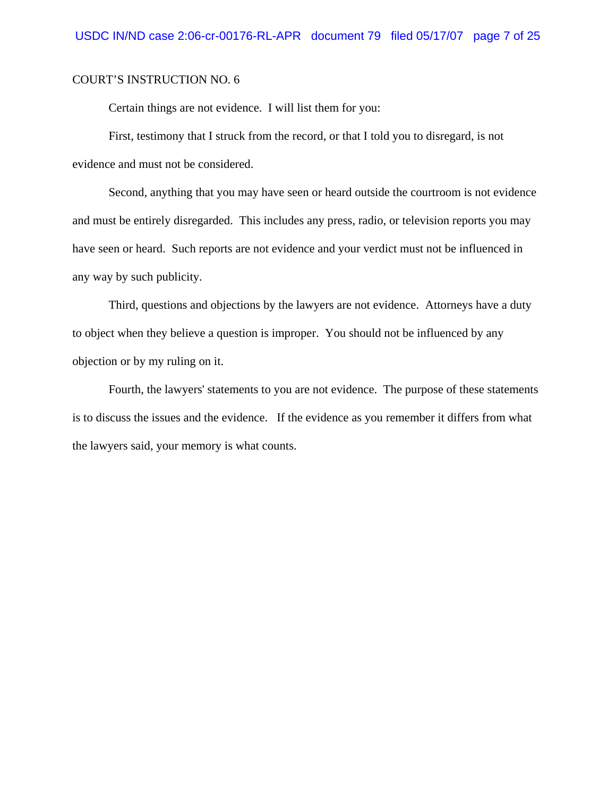Certain things are not evidence. I will list them for you:

First, testimony that I struck from the record, or that I told you to disregard, is not evidence and must not be considered.

Second, anything that you may have seen or heard outside the courtroom is not evidence and must be entirely disregarded. This includes any press, radio, or television reports you may have seen or heard. Such reports are not evidence and your verdict must not be influenced in any way by such publicity.

Third, questions and objections by the lawyers are not evidence. Attorneys have a duty to object when they believe a question is improper. You should not be influenced by any objection or by my ruling on it.

Fourth, the lawyers' statements to you are not evidence. The purpose of these statements is to discuss the issues and the evidence. If the evidence as you remember it differs from what the lawyers said, your memory is what counts.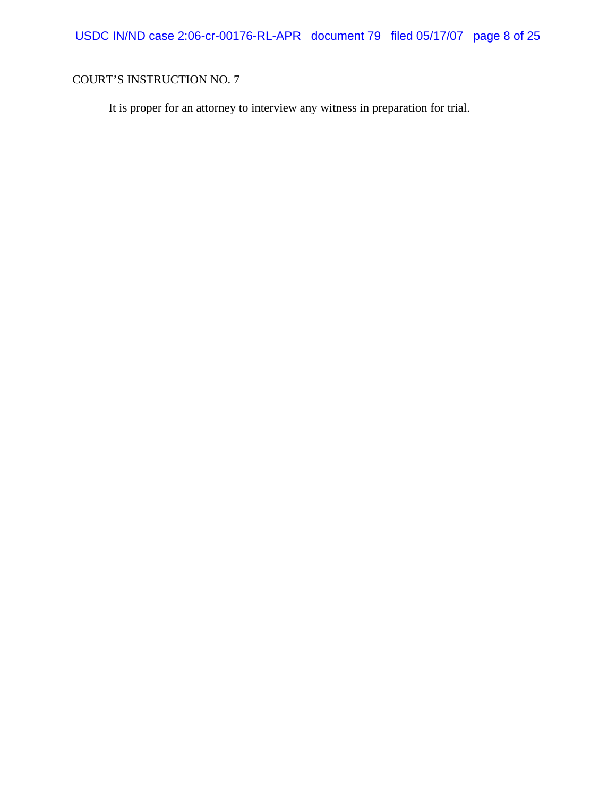It is proper for an attorney to interview any witness in preparation for trial.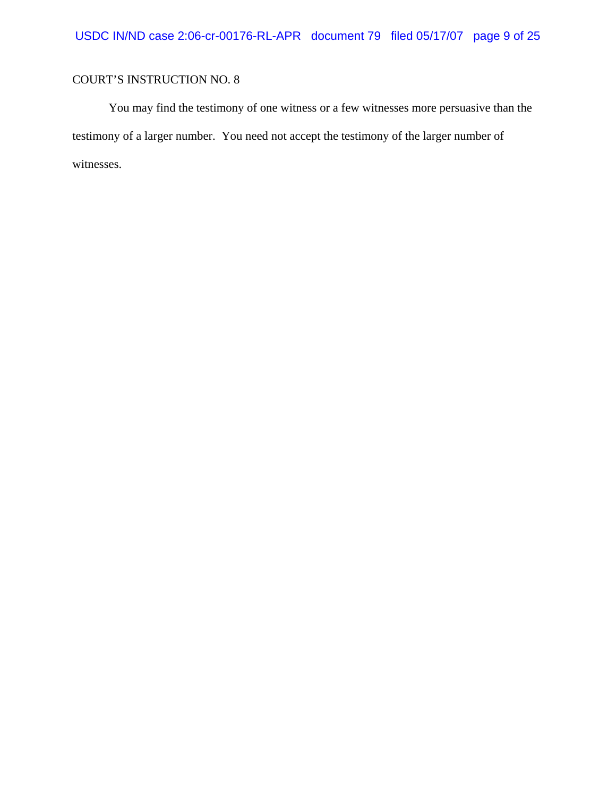You may find the testimony of one witness or a few witnesses more persuasive than the testimony of a larger number. You need not accept the testimony of the larger number of witnesses.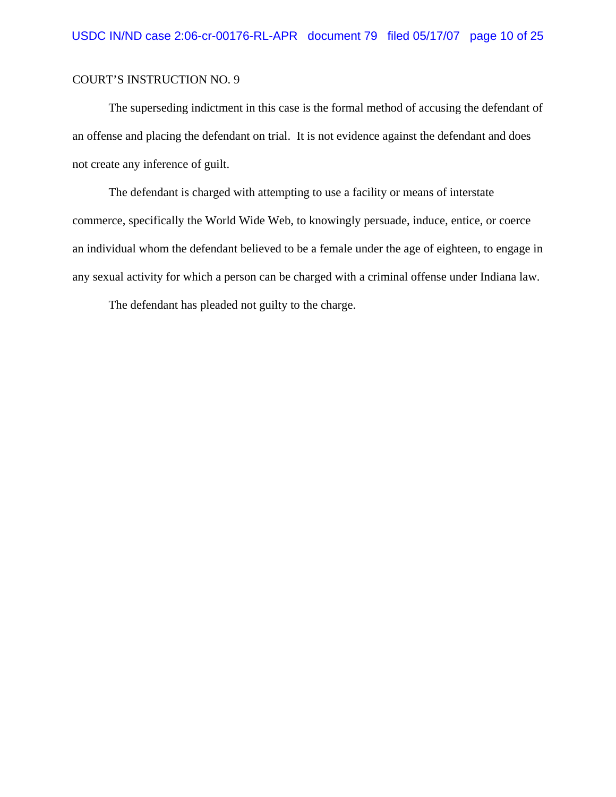The superseding indictment in this case is the formal method of accusing the defendant of an offense and placing the defendant on trial. It is not evidence against the defendant and does not create any inference of guilt.

The defendant is charged with attempting to use a facility or means of interstate commerce, specifically the World Wide Web, to knowingly persuade, induce, entice, or coerce an individual whom the defendant believed to be a female under the age of eighteen, to engage in any sexual activity for which a person can be charged with a criminal offense under Indiana law.

The defendant has pleaded not guilty to the charge.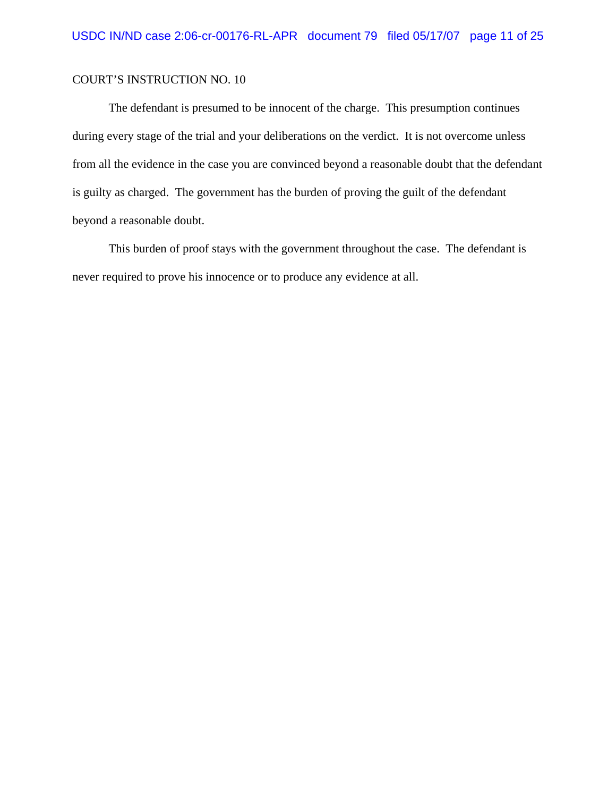The defendant is presumed to be innocent of the charge. This presumption continues during every stage of the trial and your deliberations on the verdict. It is not overcome unless from all the evidence in the case you are convinced beyond a reasonable doubt that the defendant is guilty as charged. The government has the burden of proving the guilt of the defendant beyond a reasonable doubt.

This burden of proof stays with the government throughout the case. The defendant is never required to prove his innocence or to produce any evidence at all.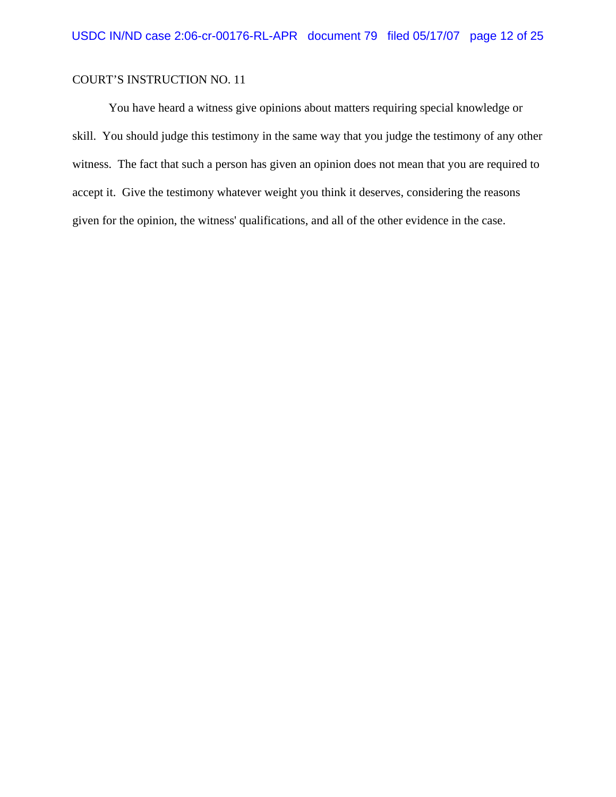You have heard a witness give opinions about matters requiring special knowledge or skill. You should judge this testimony in the same way that you judge the testimony of any other witness. The fact that such a person has given an opinion does not mean that you are required to accept it. Give the testimony whatever weight you think it deserves, considering the reasons given for the opinion, the witness' qualifications, and all of the other evidence in the case.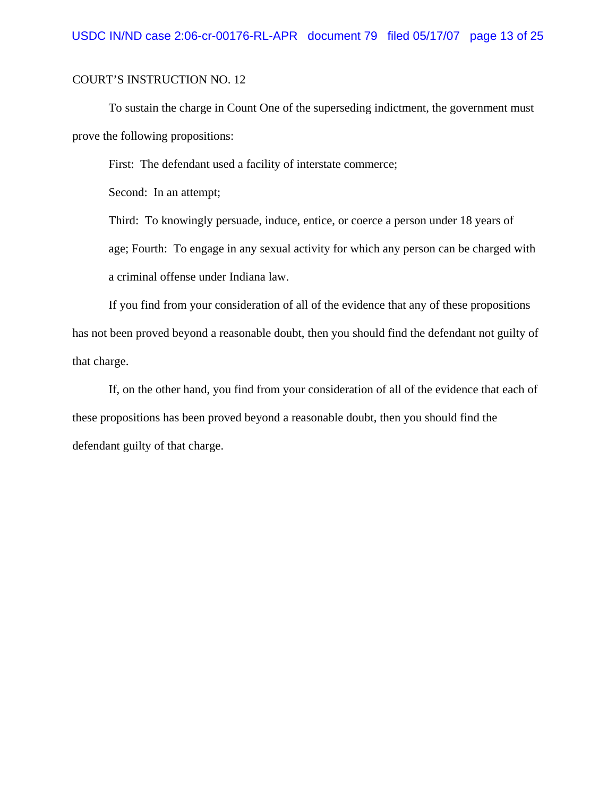To sustain the charge in Count One of the superseding indictment, the government must prove the following propositions:

First: The defendant used a facility of interstate commerce;

Second: In an attempt;

Third: To knowingly persuade, induce, entice, or coerce a person under 18 years of age; Fourth: To engage in any sexual activity for which any person can be charged with a criminal offense under Indiana law.

If you find from your consideration of all of the evidence that any of these propositions has not been proved beyond a reasonable doubt, then you should find the defendant not guilty of that charge.

If, on the other hand, you find from your consideration of all of the evidence that each of these propositions has been proved beyond a reasonable doubt, then you should find the defendant guilty of that charge.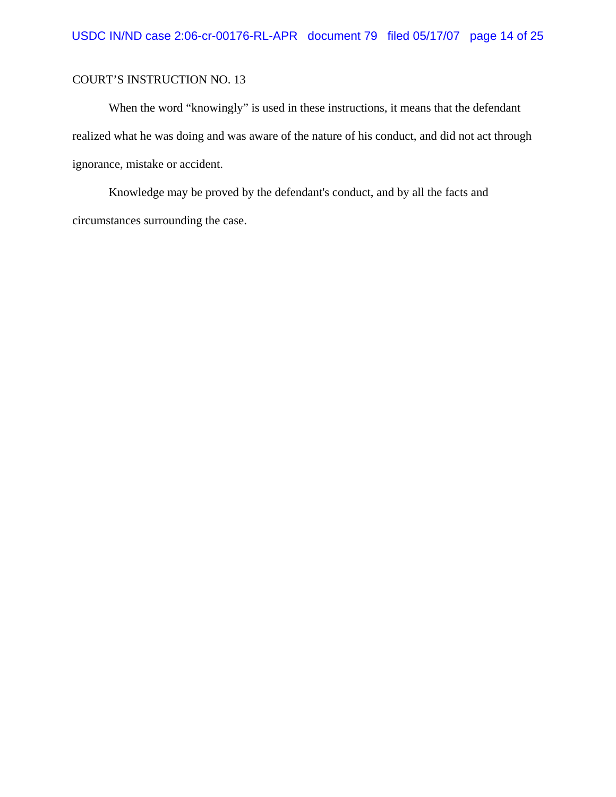When the word "knowingly" is used in these instructions, it means that the defendant realized what he was doing and was aware of the nature of his conduct, and did not act through ignorance, mistake or accident.

Knowledge may be proved by the defendant's conduct, and by all the facts and circumstances surrounding the case.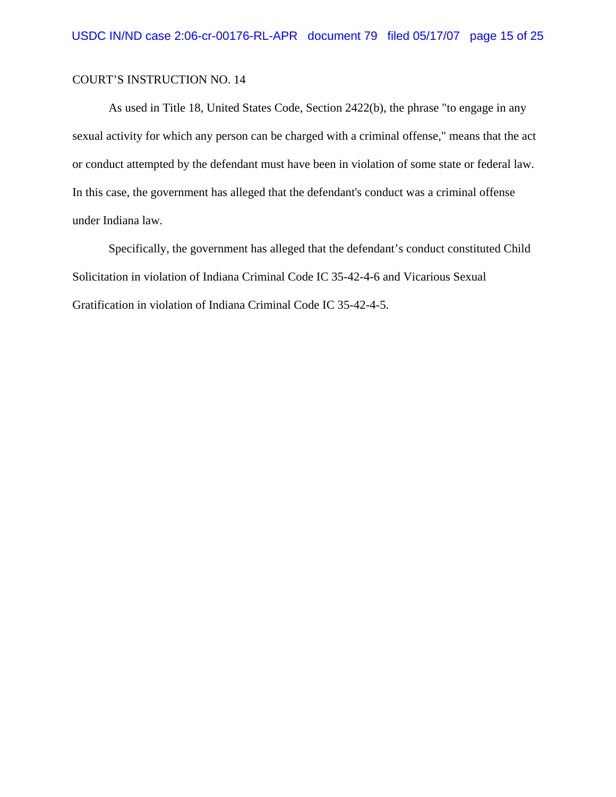As used in Title 18, United States Code, Section 2422(b), the phrase "to engage in any sexual activity for which any person can be charged with a criminal offense," means that the act or conduct attempted by the defendant must have been in violation of some state or federal law. In this case, the government has alleged that the defendant's conduct was a criminal offense under Indiana law.

Specifically, the government has alleged that the defendant's conduct constituted Child Solicitation in violation of Indiana Criminal Code IC 35-42-4-6 and Vicarious Sexual Gratification in violation of Indiana Criminal Code IC 35-42-4-5.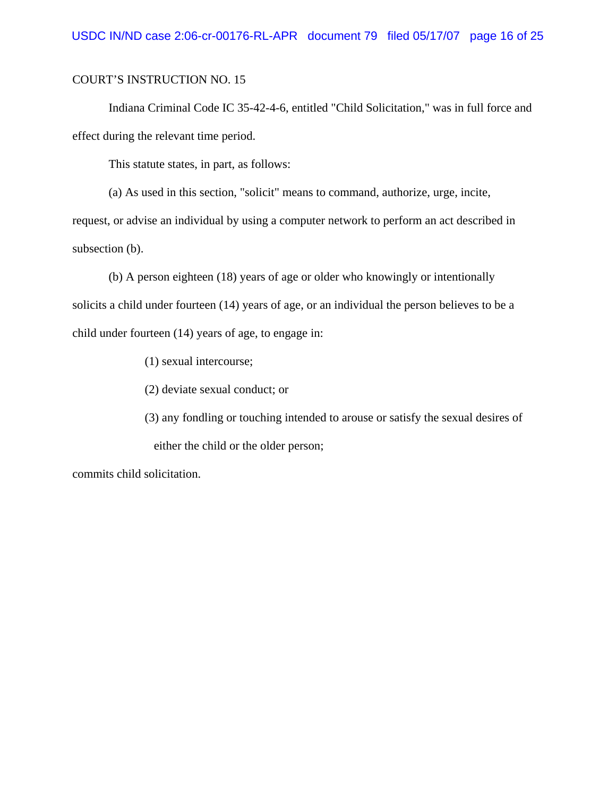Indiana Criminal Code IC 35-42-4-6, entitled "Child Solicitation," was in full force and effect during the relevant time period.

This statute states, in part, as follows:

(a) As used in this section, "solicit" means to command, authorize, urge, incite,

request, or advise an individual by using a computer network to perform an act described in subsection (b).

(b) A person eighteen (18) years of age or older who knowingly or intentionally solicits a child under fourteen (14) years of age, or an individual the person believes to be a child under fourteen (14) years of age, to engage in:

(1) sexual intercourse;

(2) deviate sexual conduct; or

(3) any fondling or touching intended to arouse or satisfy the sexual desires of either the child or the older person;

commits child solicitation.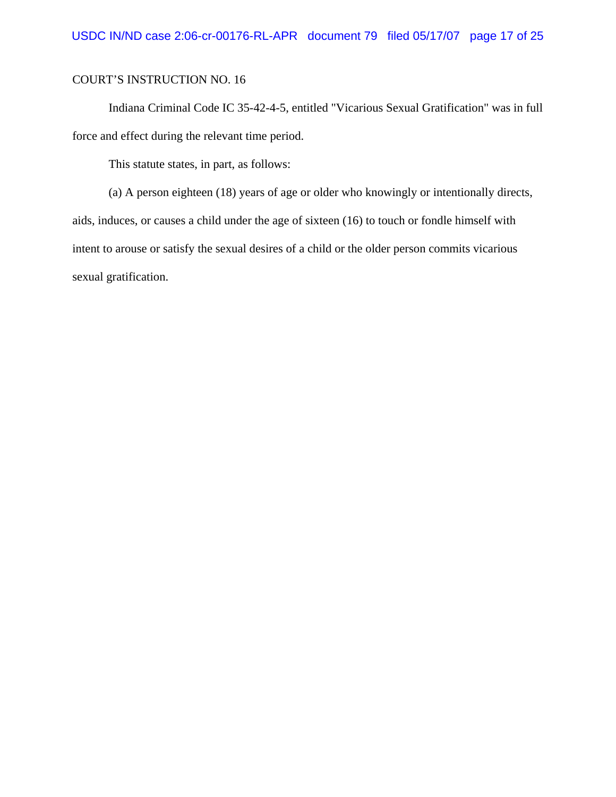Indiana Criminal Code IC 35-42-4-5, entitled "Vicarious Sexual Gratification" was in full force and effect during the relevant time period.

This statute states, in part, as follows:

(a) A person eighteen (18) years of age or older who knowingly or intentionally directs, aids, induces, or causes a child under the age of sixteen (16) to touch or fondle himself with intent to arouse or satisfy the sexual desires of a child or the older person commits vicarious sexual gratification.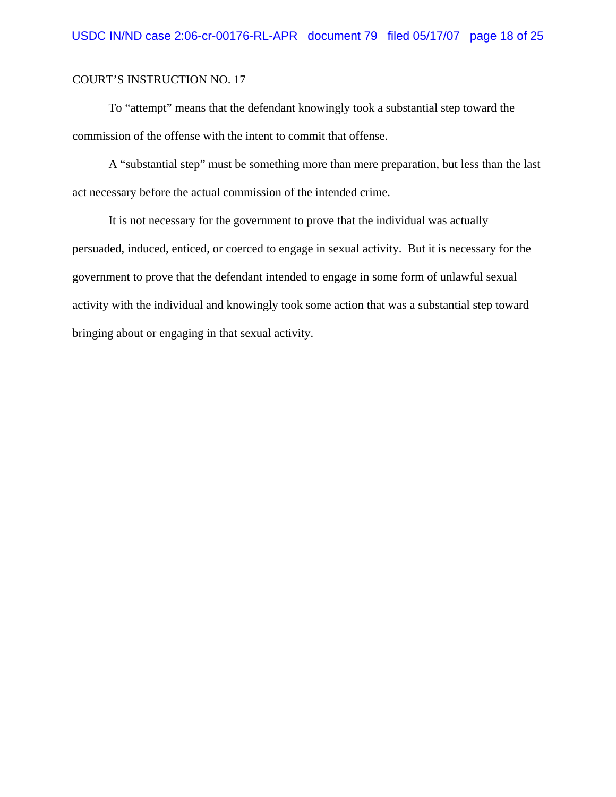To "attempt" means that the defendant knowingly took a substantial step toward the commission of the offense with the intent to commit that offense.

A "substantial step" must be something more than mere preparation, but less than the last act necessary before the actual commission of the intended crime.

It is not necessary for the government to prove that the individual was actually persuaded, induced, enticed, or coerced to engage in sexual activity. But it is necessary for the government to prove that the defendant intended to engage in some form of unlawful sexual activity with the individual and knowingly took some action that was a substantial step toward bringing about or engaging in that sexual activity.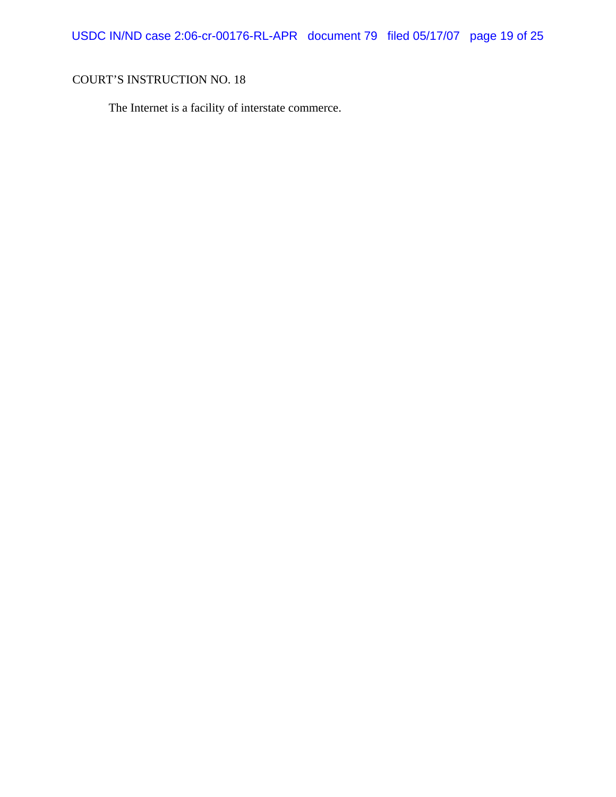The Internet is a facility of interstate commerce.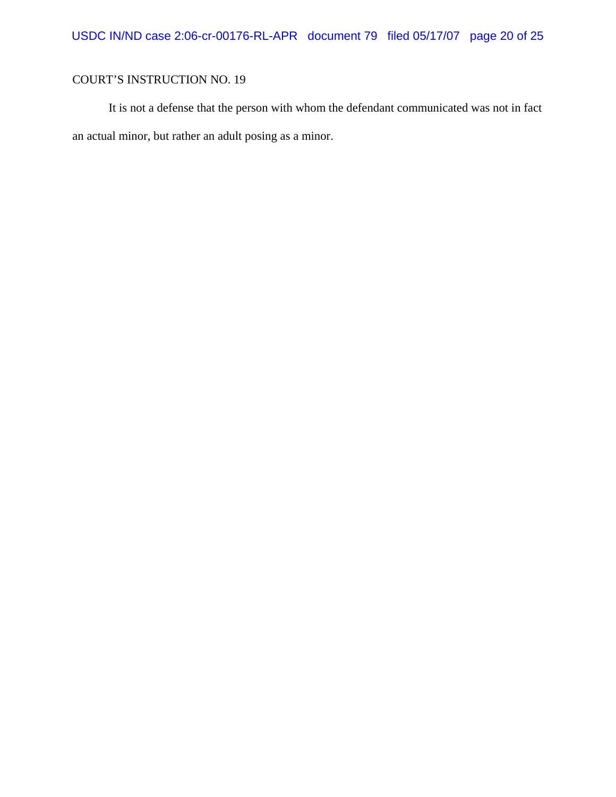It is not a defense that the person with whom the defendant communicated was not in fact an actual minor, but rather an adult posing as a minor.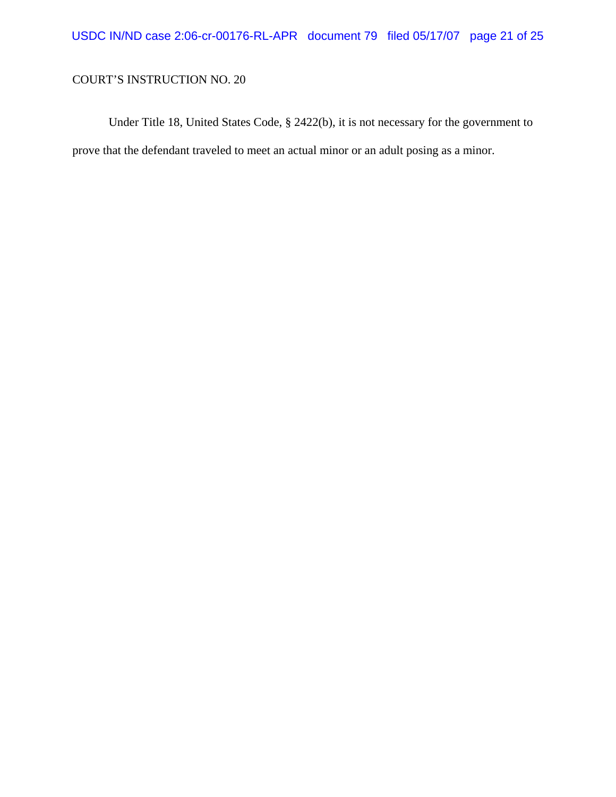Under Title 18, United States Code, § 2422(b), it is not necessary for the government to prove that the defendant traveled to meet an actual minor or an adult posing as a minor.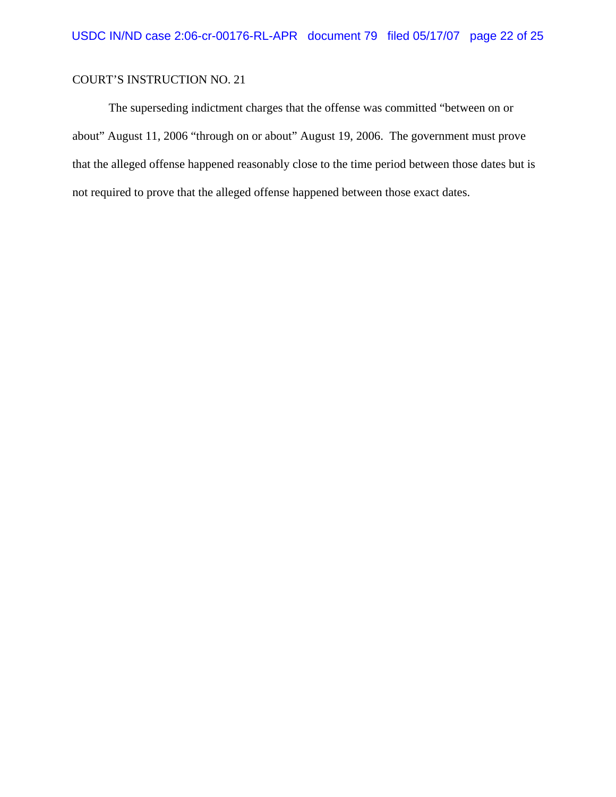The superseding indictment charges that the offense was committed "between on or about" August 11, 2006 "through on or about" August 19, 2006. The government must prove that the alleged offense happened reasonably close to the time period between those dates but is not required to prove that the alleged offense happened between those exact dates.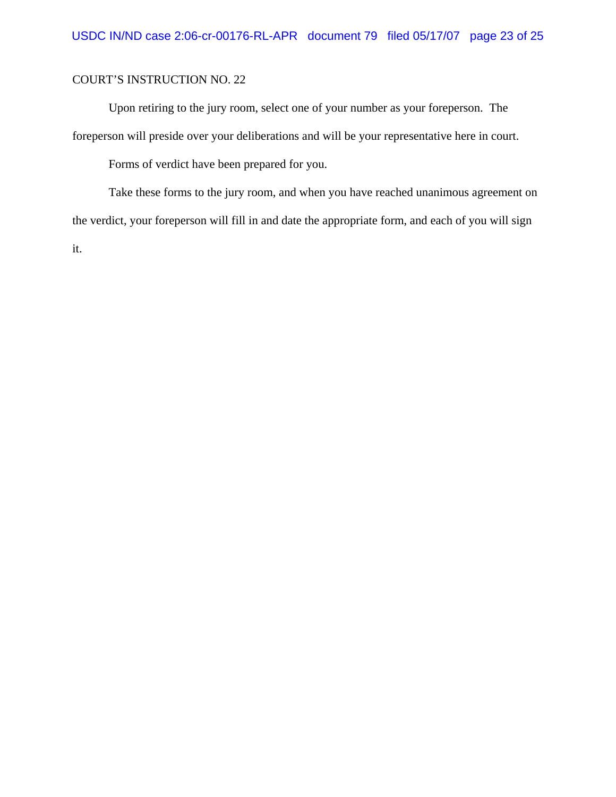Upon retiring to the jury room, select one of your number as your foreperson. The foreperson will preside over your deliberations and will be your representative here in court.

Forms of verdict have been prepared for you.

Take these forms to the jury room, and when you have reached unanimous agreement on the verdict, your foreperson will fill in and date the appropriate form, and each of you will sign it.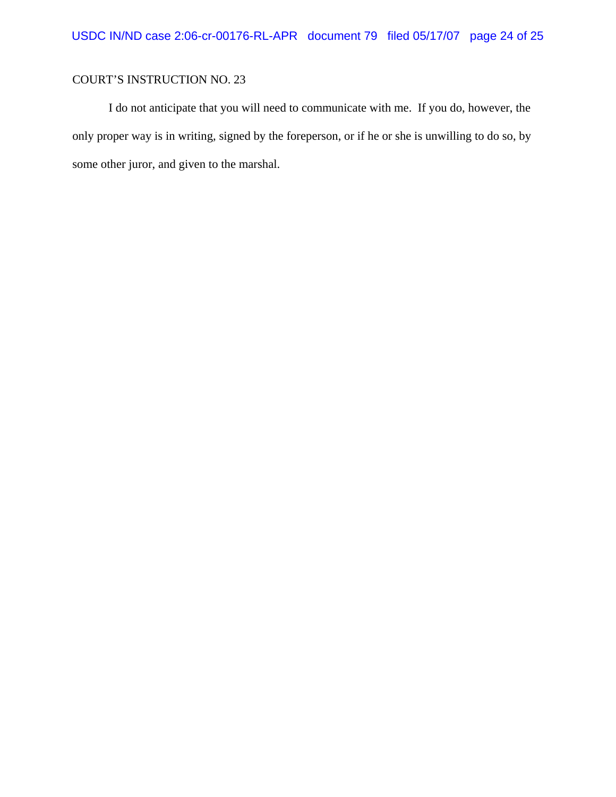I do not anticipate that you will need to communicate with me. If you do, however, the only proper way is in writing, signed by the foreperson, or if he or she is unwilling to do so, by some other juror, and given to the marshal.